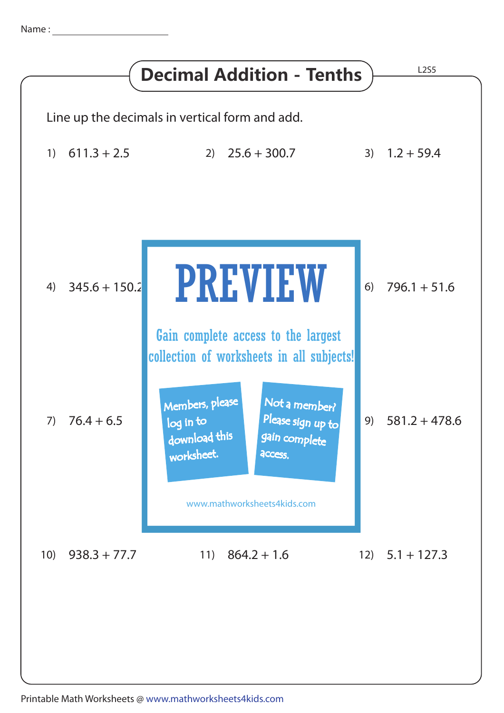